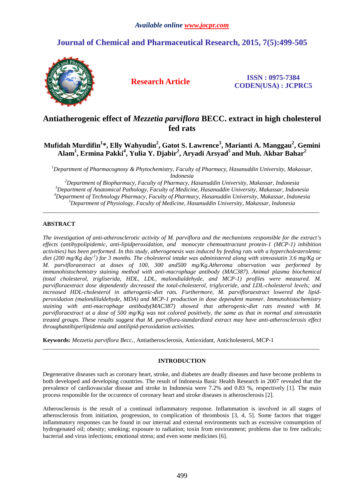# **Journal of Chemical and Pharmaceutical Research, 2015, 7(5):499-505**



**Research Article ISSN : 0975-7384 CODEN(USA) : JCPRC5**

# **Antiatherogenic effect of** *Mezzetia parviflora* **BECC. extract in high cholesterol fed rats**

# **Mufidah Murdifin<sup>1</sup> \*, Elly Wahyudin<sup>2</sup> , Gatot S. Lawrence<sup>3</sup> , Marianti A. Manggau<sup>2</sup> , Gemini Alam<sup>1</sup> , Ermina Pakki<sup>4</sup> , Yulia Y. Djabir<sup>2</sup> , Aryadi Arsyad<sup>5</sup>and Muh. Akbar Bahar<sup>2</sup>**

*<sup>1</sup>Department of Pharmacognosy & Phytochemistry, Faculty of Pharmacy, Hasanuddin University, Makassar, Indonesia*

*Department of Biopharmacy, Faculty of Pharmacy, Hasanuddin University, Makassar, Indonesia Department of Anatomical Pathology, Faculty of Medicine, Hasanuddin University, Makassar, Indonesia Department of Technology Pharmacy, Faculty of Pharmacy, Hasanuddin University, Makassar, Indonesia Department of Physiology, Faculty of Medicine, Hasanuddin University, Makassar, Indonesia* 

\_\_\_\_\_\_\_\_\_\_\_\_\_\_\_\_\_\_\_\_\_\_\_\_\_\_\_\_\_\_\_\_\_\_\_\_\_\_\_\_\_\_\_\_\_\_\_\_\_\_\_\_\_\_\_\_\_\_\_\_\_\_\_\_\_\_\_\_\_\_\_\_\_\_\_\_\_\_\_\_\_\_\_\_\_\_\_\_\_\_\_\_\_

# **ABSTRACT**

*The investigation of anti-atherosclerotic activity of M. parviflora and the mechanisms responsible for the extract's effects (antihypolipidemic, anti-lipidperoxidation, and monocyte chemoattractant protein-1 (MCP-1) inhibition activities) has been performed. In this study, atherogenesis was induced by feeding rats with a hypercholesterolemic diet (200 mg/Kg day-1) for 3 months. The cholesterol intake was administered along with simvastatin 3.6 mg/Kg or M. parvifloraextract at doses of 100, 300 and500 mg/Kg.Atheroma observation was performed by immunohistochemistry staining method with anti-macrophage antibody (MAC387). Animal plasma biochemical (total cholesterol, trigliserida, HDL, LDL, malondialdehyde, and MCP-1) profiles were measured. M. parvifloraextract dose dependently decreased the total-cholesterol, triglyceride, and LDL-cholesterol levels; and increased HDL-cholesterol in atherogenic-diet rats. Furthermore, M. parvifloraextract lowered the lipidperoxidation (malondilaldehyde, MDA) and MCP-1 production in dose dependent manner. Immunohistochemistry staining with anti-macrophage antibody(MAC387) showed that atherogenic-diet rats treated with M. parvifloraextract at a dose of 500 mg/Kg was not colored positively, the same as that in normal and simvastatin treated groups. These results suggest that M. parviflora-standardized extract may have anti-atherosclerosis effect throughantihiperlipidemia and antilipid-peroxidation activities.* 

**Keywords:** *Mezzetia parviflora Becc.,* Antiatherosclerosis, Antioxidant, Anticholesterol, MCP-1

# **INTRODUCTION**

 $\overline{a}$  , and the contribution of the contribution of the contribution of the contribution of the contribution of the contribution of the contribution of the contribution of the contribution of the contribution of the co

Degenerative diseases such as coronary heart, stroke, and diabetes are deadly diseases and have become problems in both developed and developing countries. The result of Indonesia Basic Health Research in 2007 revealed that the prevalence of cardiovascular disease and stroke in Indonesia were 7.2% and 0.83 %, respectively [1]. The main process responsible for the occurence of coronary heart and stroke diseases is atherosclerosis [2].

Atherosclerosis is the result of a continual inflammatory response. Inflammation is involved in all stages of atherosclerosis from initiation, progression, to complication of thrombosis [3, 4, 5]. Some factors that trigger inflammatory responses can be found in our internal and external environments such as excessive consumption of hydrogenated oil; obesity; smoking; exposure to radiation; toxin from environment; problems due to free radicals; bacterial and virus infections; emotional stress; and even some medicines [6].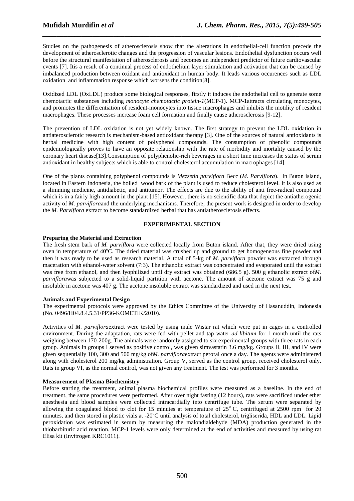Studies on the pathogenesis of atherosclerosis show that the alterations in endothelial-cell function precede the development of atherosclerotic changes and the progression of vascular lesions. Endothelial dysfunction occurs well before the structural manifestation of atherosclerosis and becomes an independent predictor of future cardiovascular events [7]. Itis a result of a continual process of endothelium layer stimulation and activation that can be caused by imbalanced production between oxidant and antioxidant in human body. It leads various occurences such as LDL oxidation and inflammation response which worsens the condition[8].

*\_\_\_\_\_\_\_\_\_\_\_\_\_\_\_\_\_\_\_\_\_\_\_\_\_\_\_\_\_\_\_\_\_\_\_\_\_\_\_\_\_\_\_\_\_\_\_\_\_\_\_\_\_\_\_\_\_\_\_\_\_\_\_\_\_\_\_\_\_\_\_\_\_\_\_\_\_\_*

Oxidized LDL (OxLDL) produce some biological responses, firstly it induces the endothelial cell to generate some chemotactic substances including *monocyte chemotactic protein-1*(MCP-1). MCP-1attracts circulating monocytes, and promotes the differentiation of resident-monocytes into tissue macrophages and inhibits the motility of resident macrophages. These processes increase foam cell formation and finally cause atherosclerosis [9-12].

The prevention of LDL oxidation is not yet widely known. The first strategy to prevent the LDL oxidation in antiaterosclerotic research is mechanism-based antioxidant therapy [3]. One of the sources of natural antioxidants is herbal medicine with high content of polyphenol compounds. The consumption of phenolic compounds epidemiologically proves to have an opposite relationship with the rate of morbidity and mortality caused by the coronary heart disease[13].Consumption of polyphenolic-rich beverages in a short time increases the status of serum antioxidant in healthy subjects which is able to control cholesterol accumulation in macrophages [14].

One of the plants containing polyphenol compounds is *Mezzetia parviflora* Becc (*M. Parviflora*). In Buton island, located in Eastern Indonesia, the boiled wood bark of the plant is used to reduce cholesterol level. It is also used as a slimming medicine, antidiabetic, and antitumor. The effects are due to the ability of anti free-radical compound which is in a fairly high amount in the plant [15]. However, there is no scientific data that depict the antiatherogenic activity of *M. parviflora*and the underlying mechanisms. Therefore, the present work is designed in order to develop the *M. Parviflora* extract to become standardized herbal that has antiatherosclerosis effects.

# **EXPERIMENTAL SECTION**

# **Preparing the Material and Extraction**

The fresh stem bark of *M. parviflora* were collected locally from Buton island. After that, they were dried using oven in temperature of  $40^{\circ}$ C. The dried material was crushed up and ground to get homogeneous fine powder and then it was ready to be used as research material. A total of 5-kg of *M. parviflora* powder was extracted through maceration with ethanol-water solvent (7:3). The ethanolic extract was concentrated and evaporated until the extract was free from ethanol, and then lyophilized until dry extract was obtained (686.5 g). 500 g ethanolic extract of*M. parviflora*was subjected to a solid-liquid partition with acetone. The amount of acetone extract was 75 g and insoluble in acetone was 407 g. The acetone insoluble extract was standardized and used in the next test.

# **Animals and Experimental Design**

The experimental protocols were approved by the Ethics Committee of the University of Hasanuddin, Indonesia (No. 0496/H04.8.4.5.31/PP36-KOMETIK/2010).

Activities of *M. parviflora*extract were tested by using male Wistar rat which were put in cages in a controlled environment. During the adaptation, rats were fed with pellet and tap water *ad-libitum* for 1 month until the rats weighing between 170-200g. The animals were randomly assigned to six experimental groups with three rats in each group. Animals in groups I served as positive control, was given simvastatin 3.6 mg/kg. Groups II, III, and IV were given sequentially 100, 300 and 500 mg/kg of*M. parviflora*extract peroral once a day. The agents were administered along with cholesterol 200 mg/kg administration. Group V, served as the control group, received cholesterol only. Rats in group VI, as the normal control, was not given any treatment. The test was performed for 3 months.

# **Measurement of Plasma Biochemistry**

Before starting the treatment, animal plasma biochemical profiles were measured as a baseline. In the end of treatment, the same procedures were performed. After over night fasting (12 hours), rats were sacrificed under ether anesthesia and blood samples were collected intracardially into centrifuge tube. The serum were separated by allowing the coagulated blood to clot for 15 minutes at temperature of  $25^{\circ}$  C, centrifuged at 2500 rpm for 20 minutes, and then stored in plastic vials at  $-20^{\circ}$ C until analysis of total cholesterol, trigliserida, HDL and LDL. Lipid peroxidation was estimated in serum by measuring the malondialdehyde (MDA) production generated in the thiobarbituric acid reaction. MCP-1 levels were only determined at the end of activities and measured by using rat Elisa kit (Invitrogen KRC1011).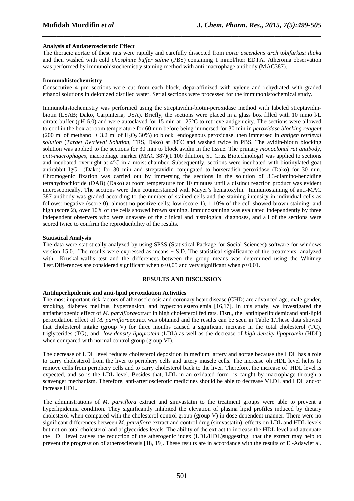# **Analysis of Antiaterosclerotic Effect**

The thoracic aortae of these rats were rapidly and carefully dissected from *aorta ascendens arch* to*bifurkasi iliaka* and then washed with cold *phosphate buffer saline* (PBS) containing 1 mmol/liter EDTA. Atheroma observation was performed by immunohistochemistry staining method with anti-macrophage antibody (MAC387).

*\_\_\_\_\_\_\_\_\_\_\_\_\_\_\_\_\_\_\_\_\_\_\_\_\_\_\_\_\_\_\_\_\_\_\_\_\_\_\_\_\_\_\_\_\_\_\_\_\_\_\_\_\_\_\_\_\_\_\_\_\_\_\_\_\_\_\_\_\_\_\_\_\_\_\_\_\_\_*

### **Immunohistochemistry**

Consecutive 4 µm sections were cut from each block, deparaffinized with xylene and rehydrated with graded ethanol solutions in deionized distilled water. Serial sections were processed for the immunohistochemical study.

Immunohistochemistry was performed using the streptavidin-biotin-peroxidase method with labeled streptavidinbiotin (LSAB; Dako, Carpinteria, USA). Briefly, the sections were placed in a glass box filled with 10 mmo l/L citrate buffer (pH 6.0) and were autoclaved for 15 min at 125°C to retrieve antigenicity. The sections were allowed to cool in the box at room temperature for 60 min before being immersed for 30 min in *peroxidase blocking reagent* (200 ml of methanol + 3.2 ml of H<sub>2</sub>O<sub>2</sub> 30%) to block endogenous peroxidase, then immersed in *antigen retrieval* solution (*Target Retrieval Solution*, TRS, Dako) at 80<sup>o</sup>C and washed twice in PBS. The avidin-biotin blocking solution was applied to the sections for 30 min to block avidin in the tissue. The primary *monoclonal rat antibody, anti-macrophages,* macrophage marker (MAC 387)(1:100 dilution, St. Cruz Biotechnologi) was applied to sections and incubated overnight at 4°C in a moist chamber. Subsequently, sections were incubated with biotinylated goat antirabbit IgG (Dako) for 30 min and streptavidin conjugated to horseradish peroxidase (Dako) for 30 min. Chromogenic fixation was carried out by immersing the sections in the solution of 3,3-diamino-benzidine tetrahydrochloride (DAB) (Dako) at room temperature for 10 minutes until a distinct reaction product was evident microscopically. The sections were then counterstained with Mayer's hematoxylin. Immunostaining of anti-MAC 387 antibody was graded according to the number of stained cells and the staining intensity in individual cells as follows: negative (score 0), almost no positive cells; low (score 1), 1-10% of the cell showed brown staining; and high (score 2), over 10% of the cells showed brown staining. Immunostaining was evaluated independently by three independent observers who were unaware of the clinical and histological diagnoses, and all of the sections were scored twice to confirm the reproducibility of the results.

#### **Statistical Analysis**

The data were statistically analyzed by using SPSS (Statistical Package for Social Sciences) software for windows version 15.0. The results were expressed as means  $\pm$  S.D. The statistical significance of the treatments analyzed with Kruskal-wallis test and the differences between the group means was determined using the Whitney Test.Differences are considered significant when  $p<0.05$  and very significant when  $p<0.01$ .

# **RESULTS AND DISCUSSION**

### **Antihiperlipidemic and anti-lipid peroxidation Activities**

The most important risk factors of atherosclerosis and coronary heart disease (CHD) are advanced age, male gender, smoking, diabetes mellitus, hypertension, and hypercholesterolemia [16,17]. In this study, we investigated the antiatherogenic effect of *M. parviflora*extract in high cholesterol fed rats. Fisrt,, the antihiperlipidemicand anti-lipid peroxidation effect of *M. parviflora*extract was obtained and the results can be seen in Table 1.These data showed that cholesterol intake (group V) for three months caused a significant increase in the total cholesterol (TC), triglycerides (TG), and *low density lipoprotein* (LDL) as well as the decrease of *high density lipoprotein* (HDL) when compared with normal control group (group VI).

The decrease of LDL level reduces cholesterol deposition in medium artery and aortae because the LDL has a role to carry cholesterol from the liver to periphery cells and artery muscle cells. The increase oh HDL level helps to remove cells from periphery cells and to carry cholesterol back to the liver. Therefore, the increase of HDL level is expected, and so is the LDL level. Besides that, LDL in an oxidated form is caught by macrophage through a scavenger mechanism. Therefore, anti-arteriosclerotic medicines should be able to decrease VLDL and LDL and/or increase HDL.

The administrations of *M. parviflora* extract and simvastatin to the treatment groups were able to prevent a hyperlipidemia condition. They significantly inhibited the elevation of plasma lipid profiles induced by dietary cholesterol when compared with the cholesterol control group (group V) in dose dependent manner. There were no significant differences between *M. parviflora* extract and control drug (simvastatin) effects on LDL and HDL levels but not on total cholesterol and triglycerides levels. The ability of the extract to increase the HDL level and attenuate the LDL level causes the reduction of the atherogenic index (LDL/HDL)suggesting that the extract may help to prevent the progression of atherosclerosis [18, 19]. These results are in accordance with the results of El-Adawiet al.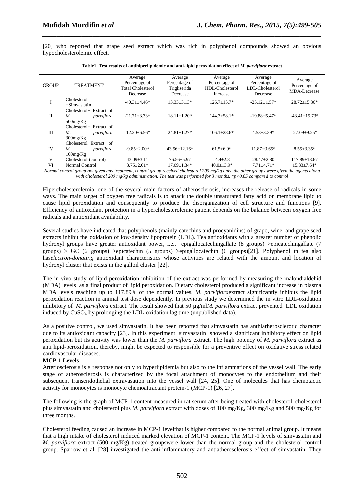[20] who reported that grape seed extract which was rich in polyphenol compounds showed an obvious hypocholesterolemic effect.

*\_\_\_\_\_\_\_\_\_\_\_\_\_\_\_\_\_\_\_\_\_\_\_\_\_\_\_\_\_\_\_\_\_\_\_\_\_\_\_\_\_\_\_\_\_\_\_\_\_\_\_\_\_\_\_\_\_\_\_\_\_\_\_\_\_\_\_\_\_\_\_\_\_\_\_\_\_\_*

| <b>GROUP</b> | <b>TREATMENT</b>                                           | Average<br>Percentage of<br><b>Total Cholesterol</b><br>Decrease | Average<br>Percentage of<br>Trigliserida<br>Decrease | Average<br>Percentage of<br>HDL-Cholesterol<br>Increase | Average<br>Percentage of<br>LDL-Cholesterol<br>Decrease | Average<br>Percentage of<br>MDA-Decrease |
|--------------|------------------------------------------------------------|------------------------------------------------------------------|------------------------------------------------------|---------------------------------------------------------|---------------------------------------------------------|------------------------------------------|
| I            | Cholesterol<br>$+Simvastatin$                              | $-40.31 \pm 4.46*$                                               | $13.33 \pm 3.13*$                                    | $126.7 + 15.7*$                                         | $-25.12 \pm 1.57$ *                                     | $28.72 \pm 15.86*$                       |
| $\Pi$        | Cholesterol+ Extract of<br>parviflora<br>М.<br>$500$ mg/Kg | $-21.71 \pm 3.33*$                                               | $18.11 \pm 1.20*$                                    | $144.3 \pm 58.1*$                                       | $-19.88 + 5.47*$                                        | $-43.41 \pm 15.73*$                      |
| Ш            | Cholesterol+ Extract of<br>parviflora<br>М.<br>$300$ mg/Kg | $-12.20\pm 6.56*$                                                | $24.81 \pm 1.27$ *                                   | $106.1 \pm 28.6*$                                       | $4.53 \pm 3.39*$                                        | $-27.09 + 9.25*$                         |
| <b>IV</b>    | Cholesterol+Extract of<br>М.<br>parviflora<br>100mg/Kg     | $-9.85 + 2.00*$                                                  | $43.56 \pm 12.16*$                                   | $61.5 \pm 6.9*$                                         | $11.87 + 0.65*$                                         | $8.55 \pm 3.35*$                         |
| V            | Cholesterol (control)                                      | $43.09 \pm 3.11$                                                 | $76.56 \pm 5.97$                                     | $-4.4 \pm 2.8$                                          | $28.47 \pm 2.80$                                        | $117.89 \pm 18.67$                       |
| VI           | Normal Control                                             | $3.75 \pm 2.01*$                                                 | $17.09 \pm 1.34*$                                    | $40.0 \pm 13.9*$                                        | $7.71 \pm 4.71*$                                        | $15.33 \pm 7.64*$                        |

**Table1. Test results of antihiperlipidemic and anti-lipid peroxidation effect of** *M. parviflora* **extract** 

*Normal control group not given any treatment, control group received cholesterol 200 mg/kg only, the other groups were given the agents along with cholesterol 200 mg/kg administration. The test was performed for 3 months. \*p<0.05 compared to control* 

Hipercholesterolemia, one of the several main factors of atherosclerosis, increases the release of radicals in some ways. The main target of oxygen free radicals is to attack the double unsaturated fatty acid on membrane lipid to cause lipid peroxidation and consequently to produce the disorganization of cell structure and functions [9]. Efficiency of antioxidant protection in a hypercholesterolemic patient depends on the balance between oxygen free radicals and antioxidant availability.

Several studies have indicated that polyphenols (mainly catechins and procyanidins) of grape, wine, and grape seed extracts inhibit the oxidation of low-density lipoprotein (LDL). Tea antioxidants with a greater number of phenolic hydroxyl groups have greater antioxidant power, i.e., epigallocatechingallate (8 groups) >epicatechingallate (7 groups) > GC (6 groups) >epicatechin (5 groups) >epigallocatechin (6 groups)[21]. Polyphenol in tea also has*electron-donating* antioxidant characteristics whose activities are related with the amount and location of hydroxyl cluster that exists in the galloil cluster [22].

The in vivo study of lipid peroxidation inhibition of the extract was performed by measuring the malondialdehid (MDA) levels as a final product of lipid peroxidation. Dietary cholesterol produced a significant increase in plasma MDA levels reaching up to 117.89% of the normal values. *M. parviflora*extract significantly inhibits the lipid peroxidation reaction in animal test dose dependently. In previous study we determined the in vitro LDL-oxidation inhibitory of *M. parviflora* extract. The result showed that 50 µg/ml*M. parviflora* extract prevented LDL oxidation induced by  $CuSO<sub>4</sub>$  by prolonging the LDL-oxidation lag time (unpublished data).

As a positive control, we used simvastatin. It has been reported that simvastatin has anthiatherosclerotic character due to its antioxidant capacity [23]. In this experiment simvastatin showed a significant inhibitory effect on lipid peroxidation but its activity was lower than the *M. parviflora* extract. The high potency of *M. parviflora* extract as anti lipid-peroxidation, thereby, might be expected to responsible for a preventive effect on oxidative stress related cardiovascular diseases.

# **MCP-1 Levels**

Arteriosclerosis is a response not only to hyperlipidemia but also to the inflammations of the vessel wall. The early stage of atherosclerosis is characterized by the focal attachment of monocytes to the endothelium and their subsequent transendothelial extravasation into the vessel wall [24, 25]. One of molecules that has chemotactic activity for monocytes is monocyte chemoattractant protein-1 (MCP-1) [26, 27].

The following is the graph of MCP-1 content measured in rat serum after being treated with cholesterol, cholesterol plus simvastatin and cholesterol plus *M. parviflora* extract with doses of 100 mg/Kg, 300 mg/Kg and 500 mg/Kg for three months.

Cholesterol feeding caused an increase in MCP-1 levelthat is higher compared to the normal animal group. It means that a high intake of cholesterol induced marked elevation of MCP-1 content. The MCP-1 levels of simvastatin and *M. parviflora* extract (500 mg/Kg) treated groupswere lower than the normal group and the cholesterol control group. Sparrow et al. [28] investigated the anti-inflammatory and antiatherosclerosis effect of simvastatin. They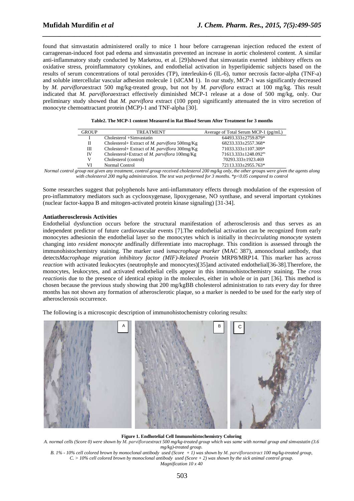found that simvastatin administered orally to mice 1 hour before carrageenan injection reduced the extent of carrageenan-induced foot pad edema and simvastatin prevented an increase in aortic cholesterol content. A similar anti-inflammatory study conducted by Marketou, et al. [29]showed that simvastatin exerted inhibitory effects on oxidative stress, proinflammatory cytokines, and endothelial activation in hyperlipidemic subjects based on the results of serum concentrations of total peroxides (TP), interleukin-6 (IL-6), tumor necrosis factor-alpha (TNF-a) and soluble intercellular vascular adhesion molecule 1 (sICAM 1). In our study, MCP-1 was significantly decreased by *M. parviflora*extract 500 mg/kg-treated group, but not by *M. parviflora* extract at 100 mg/kg. This result indicated that *M. parviflora*extract effectively diminished MCP-1 release at a dose of 500 mg/kg, only. Our preliminary study showed that *M. parviflora* extract (100 ppm) significantly attenuated the in vitro secretion of monocyte chemoattractant protein (MCP)-1 and TNF-alpha [30].

*\_\_\_\_\_\_\_\_\_\_\_\_\_\_\_\_\_\_\_\_\_\_\_\_\_\_\_\_\_\_\_\_\_\_\_\_\_\_\_\_\_\_\_\_\_\_\_\_\_\_\_\_\_\_\_\_\_\_\_\_\_\_\_\_\_\_\_\_\_\_\_\_\_\_\_\_\_\_*

| <b>GROUP</b> | <b>TREATMENT</b>                                      | Average of Total Serum MCP-1 (pg/mL)   |
|--------------|-------------------------------------------------------|----------------------------------------|
|              | Cholesterol +Simvastatin                              | 64493.333±2759.879*                    |
| П            | Cholesterol+ Extract of <i>M. parviflora</i> 500mg/Kg | 68233.333±2557.368*                    |
| Ш            | Cholesterol+ Extract of M. parviflora $300$ mg/Kg     | 71033.333±1107.309*                    |
| IV           | Cholesterol+Extract of M. parviflora $100mg/Kg$       | $71613.333 \pm 1248.092$ <sup>ns</sup> |
| V            | Cholesterol (control)                                 | 70293.333±1923.469                     |
| VI           | Normal Control                                        | 72113.333±2955.763*                    |

*Normal control group not given any treatment, control group received cholesterol 200 mg/kg only, the other groups were given the agents along with cholesterol 200 mg/kg administration. The test was performed for 3 months. \*p<0.05 compared to control* 

Some researches suggest that polyphenols have anti-inflammatory effects through modulation of the expression of pro-inflammatory mediators such as cyclooxygenase, lipoxygenase, NO synthase, and several important cytokines (nuclear factor-kappa B and mitogen-activated protein kinase signaling) [31-34].

# **Antiatherosclerosis Activities**

Endothelial dysfunction occurs before the structural manifestation of atherosclerosis and thus serves as an independent predictor of future cardiovascular events [7].The endothelial activation can be recognized from early monocytes adhesionin the endothelial layer so the monocytes which is initially in the*circulating monocyte* system changing into *resident monocyte* andfinally differentiate into macrophage. This condition is assessed through the immunohistochemistry staining. The marker used is*macrophage marker* (MAC 387), amonoclonal antibody, that detects*Macrophage migration inhibitory factor (MIF)-Related Protein* MRP8/MRP14. This marker has a*cross reaction* with activated leukocytes (neutrophyle and monocytes)[35]and activated endothelial[36-38].Therefore, the monocytes, leukocytes, and activated endothelial cells appear in this immunohistochemistry staining. The *cross reaction*is due to the presence of identical epitop in the molecules, either in whole or in part [36]. This method is chosen because the previous study showing that 200 mg/kgBB cholesterol administration to rats every day for three months has not shown any formation of atherosclerotic plaque, so a marker is needed to be used for the early step of atherosclerosis occurrence.

The following is a microscopic description of immunohistochemistry coloring results:



#### **Figure 1. Endhotelial Cell Immunohistochemistry Coloring**

*A. normal cells (Score 0) were shown by M. parvifloraextract 500 mg/kg-treated group which was same with normal group and simvastatin (3.6 mg/kg)-treated group.* 

*B. 1% - 10% cell colored brown by monoclonal antibody used (Score + 1) was shown by M. parvifloraextract 100 mg/kg-treated group,*   $C. > 10\%$  cell colored brown by monoclonal antibody used (Score + 2) was shown by the sick animal control group. *Magnification 10 x 40*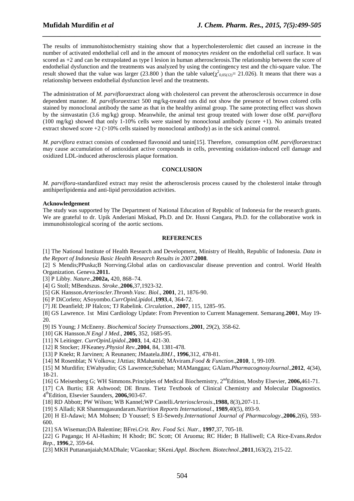The results of immunohistochemistry staining show that a hypercholesterolemic diet caused an increase in the number of activated endothelial cell and in the amount of monocytes *resident* on the endothelial cell surface. It was scored as +2 and can be extrapolated as type I lesion in human atherosclerosis.The relationship between the score of endothelial dysfunction and the treatments was analyzed by using the contingency test and the chi-square value. The result showed that the value was larger (23.800) than the table value( $\chi^2_{0.05(12)}$  = 21.026). It means that there was a relationship between endothelial dysfunction level and the treatments.

*\_\_\_\_\_\_\_\_\_\_\_\_\_\_\_\_\_\_\_\_\_\_\_\_\_\_\_\_\_\_\_\_\_\_\_\_\_\_\_\_\_\_\_\_\_\_\_\_\_\_\_\_\_\_\_\_\_\_\_\_\_\_\_\_\_\_\_\_\_\_\_\_\_\_\_\_\_\_*

The administration of *M. parviflora*extract along with cholesterol can prevent the atherosclerosis occurrence in dose dependent manner. *M. parviflora*extract 500 mg/kg-treated rats did not show the presence of brown colored cells stained by monoclonal antibody the same as that in the healthy animal group. The same protecting effect was shown by the simvastatin (3.6 mg/kg) group. Meanwhile, the animal test group treated with lower dose of*M. parviflora* (100 mg/kg) showed that only 1-10% cells were stained by monoclonal antibody (score +1). No animals treated extract showed score  $+2$  ( $>10\%$  cells stained by monoclonal antibody) as in the sick animal control.

*M. parviflora* extract consists of condensed flavonoid and tanin[15]. Therefore, consumption of*M. parviflora*extract may cause accumulation of antioxidant active compounds in cells, preventing oxidation-induced cell damage and oxidized LDL-induced atherosclerosis plaque formation.

# **CONCLUSION**

*M. parviflora*-standardized extract may resist the atherosclerosis process caused by the cholesterol intake through antihiperlipidemia and anti-lipid peroxidation activities.

# **Acknowledgement**

The study was supported by The Department of National Education of Republic of Indonesia for the research grants. We are grateful to dr. Upik Anderiani Miskad, Ph.D. and Dr. Husni Cangara, Ph.D. for the collaborative work in immunohistological scoring of the aortic sections.

#### **REFERENCES**

[1] The National Institute of Health Research and Development, Ministry of Health, Republic of Indonesia. *Data in the Report of Indonesia Basic Health Research Results in 2007*.**2008**.

[2] S Mendis;PPuska;B Norrving.Global atlas on cardiovascular disease prevention and control. World Health Organization. Geneva.**2011.** 

[3] P Libby. *Nature*.,**2002a,** 420, 868–74.

[4] G Stoll; MBendszus. *Stroke.,***2006**,37,1923-32.

[5] GK Hansson.*Arterioscler.Thromb.Vasc. Biol*., **2001**, 21, 1876-90.

[6] P DiCorleto; ASoyombo.*CurrOpinLipidol.,***1993**,4, 364-72.

[7] JE Deanfield; JP Halcox; TJ Rabelink. *Circulation*., **2007**, 115, 1285–95.

[8] GS Lawrence. 1st Mini Cardiology Update: From Prevention to Current Management. Semarang.**2001**, May 19- 20.

[9] IS Young; J McEneny. *Biochemical Society Transactions*.,**2001**, 29(2), 358-62.

[10] GK Hansson.*N Engl J Med*., **2005**, 352, 1685-95.

[11] N Leitinger. *CurrOpinLipidol*.,**2003**, 14, 421-30.

[12] R Stocker; JFKeaney.*Physiol Rev.,***2004**, 84, 1381-478.

[13] P Knekt; R Jarvinen; A Reunanen; JMaatela.*BMJ*., **1996**,312, 478-81*.* 

[14] M Rosenblat; N Volkova; JAttias; RMahamid; MAviram.*Food & Function*.,**2010**, 1, 99-109.

[15] M Murdifin; EWahyudin; GS Lawrence;Subehan; MAManggau; GAlam.*PharmacognosyJournal*.,**2012**, 4(34), 18-21.

[16] G Meisenberg G; WH Simmons.Principles of Medical Biochemistry, 2<sup>nd</sup>Edition, Mosby Elsevier, 2006,461-71.

[17] CA Burtis; ER Ashwood; DE Bruns. Tietz Textbook of Clinical Chemistry and Molecular Diagnostics*.*  4 thEdition, Elsevier Saunders, **2006,**903-67.

[18] RD Abbott; PW Wilson; WB Kannel;WP Castelli.*Arteriosclerosis*.,**1988,** 8(3),207-11.

[19] S Alladi; KR Shanmugasundaram.*Nutrition Reports International*., **1989**,40(5), 893-9.

[20] H El-Adawi; MA Mohsen; D Youssef; S El-Sewedy.*International Journal of Pharmacology*.,**2006**,2(6), 593- 600.

[21] SA Wiseman;DA Balentine; BFrei.*Crit. Rev. Food Sci. Nutr.,* **1997**,37, 705-18.

[22] G Paganga; H Al-Hashim; H Khodr; BC Scott; OI Aruoma; RC Hider; B Halliwell; CA Rice-Evans.*Redox Rep.,* **1996***,*2, 359-64.

[23] MKH Puttananjaiah;MADhale; VGaonkar; SKeni.*Appl. Biochem. Biotechnol*.,**2011***,*163(2), 215-22.